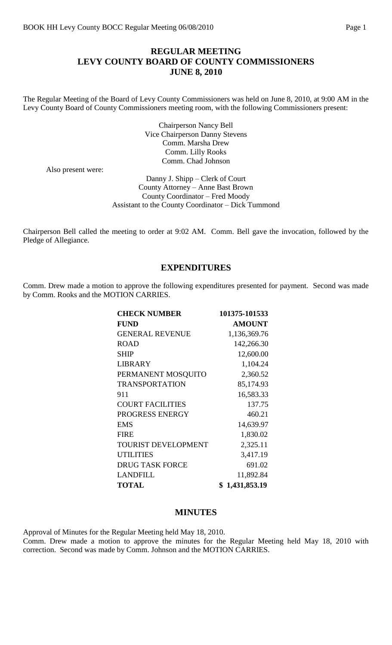## **REGULAR MEETING LEVY COUNTY BOARD OF COUNTY COMMISSIONERS JUNE 8, 2010**

The Regular Meeting of the Board of Levy County Commissioners was held on June 8, 2010, at 9:00 AM in the Levy County Board of County Commissioners meeting room, with the following Commissioners present:

> Chairperson Nancy Bell Vice Chairperson Danny Stevens Comm. Marsha Drew Comm. Lilly Rooks Comm. Chad Johnson

Also present were:

Danny J. Shipp – Clerk of Court County Attorney – Anne Bast Brown County Coordinator – Fred Moody Assistant to the County Coordinator – Dick Tummond

Chairperson Bell called the meeting to order at 9:02 AM. Comm. Bell gave the invocation, followed by the Pledge of Allegiance.

## **EXPENDITURES**

Comm. Drew made a motion to approve the following expenditures presented for payment. Second was made by Comm. Rooks and the MOTION CARRIES.

| <b>CHECK NUMBER</b>        | 101375-101533  |
|----------------------------|----------------|
| <b>FUND</b>                | <b>AMOUNT</b>  |
| <b>GENERAL REVENUE</b>     | 1,136,369.76   |
| <b>ROAD</b>                | 142,266.30     |
| <b>SHIP</b>                | 12,600.00      |
| <b>LIBRARY</b>             | 1,104.24       |
| PERMANENT MOSQUITO         | 2,360.52       |
| <b>TRANSPORTATION</b>      | 85,174.93      |
| 911                        | 16,583.33      |
| <b>COURT FACILITIES</b>    | 137.75         |
| PROGRESS ENERGY            | 460.21         |
| <b>EMS</b>                 | 14,639.97      |
| <b>FIRE</b>                | 1,830.02       |
| <b>TOURIST DEVELOPMENT</b> | 2,325.11       |
| <b>UTILITIES</b>           | 3,417.19       |
| <b>DRUG TASK FORCE</b>     | 691.02         |
| <b>LANDFILL</b>            | 11,892.84      |
| <b>TOTAL</b>               | \$1,431,853.19 |

### **MINUTES**

Approval of Minutes for the Regular Meeting held May 18, 2010. Comm. Drew made a motion to approve the minutes for the Regular Meeting held May 18, 2010 with correction. Second was made by Comm. Johnson and the MOTION CARRIES.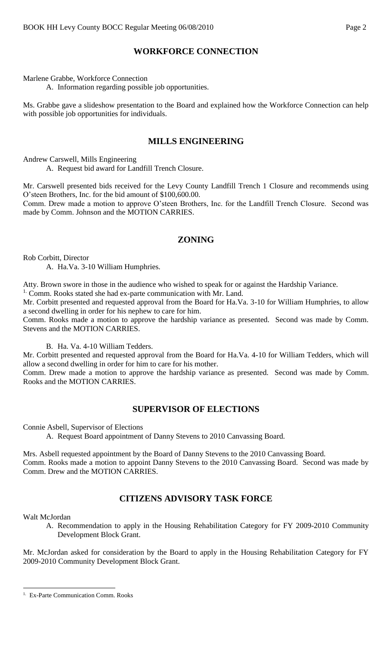# **WORKFORCE CONNECTION**

Marlene Grabbe, Workforce Connection

A. Information regarding possible job opportunities.

Ms. Grabbe gave a slideshow presentation to the Board and explained how the Workforce Connection can help with possible job opportunities for individuals.

# **MILLS ENGINEERING**

Andrew Carswell, Mills Engineering

A. Request bid award for Landfill Trench Closure.

Mr. Carswell presented bids received for the Levy County Landfill Trench 1 Closure and recommends using O'steen Brothers, Inc. for the bid amount of \$100,600.00.

Comm. Drew made a motion to approve O'steen Brothers, Inc. for the Landfill Trench Closure. Second was made by Comm. Johnson and the MOTION CARRIES.

# **ZONING**

Rob Corbitt, Director

A. Ha.Va. 3-10 William Humphries.

Atty. Brown swore in those in the audience who wished to speak for or against the Hardship Variance. <sup>1.</sup> Comm. Rooks stated she had ex-parte communication with Mr. Land.

Mr. Corbitt presented and requested approval from the Board for Ha.Va. 3-10 for William Humphries, to allow a second dwelling in order for his nephew to care for him.

Comm. Rooks made a motion to approve the hardship variance as presented. Second was made by Comm. Stevens and the MOTION CARRIES.

B. Ha. Va. 4-10 William Tedders.

Mr. Corbitt presented and requested approval from the Board for Ha.Va. 4-10 for William Tedders, which will allow a second dwelling in order for him to care for his mother.

Comm. Drew made a motion to approve the hardship variance as presented. Second was made by Comm. Rooks and the MOTION CARRIES.

## **SUPERVISOR OF ELECTIONS**

Connie Asbell, Supervisor of Elections

A. Request Board appointment of Danny Stevens to 2010 Canvassing Board.

Mrs. Asbell requested appointment by the Board of Danny Stevens to the 2010 Canvassing Board. Comm. Rooks made a motion to appoint Danny Stevens to the 2010 Canvassing Board. Second was made by Comm. Drew and the MOTION CARRIES.

# **CITIZENS ADVISORY TASK FORCE**

Walt McJordan

A. Recommendation to apply in the Housing Rehabilitation Category for FY 2009-2010 Community Development Block Grant.

Mr. McJordan asked for consideration by the Board to apply in the Housing Rehabilitation Category for FY 2009-2010 Community Development Block Grant.

 $\overline{a}$ <sup>1.</sup> Ex-Parte Communication Comm. Rooks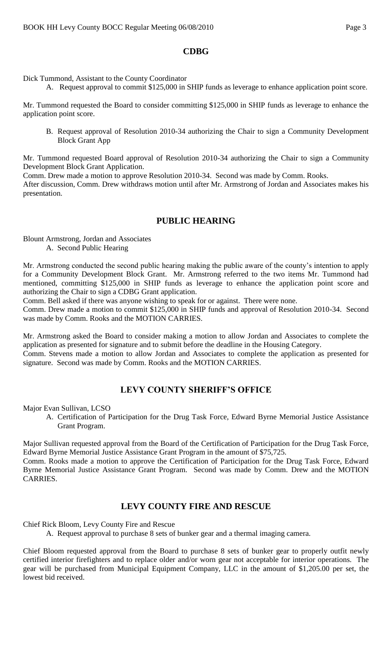## **CDBG**

Dick Tummond, Assistant to the County Coordinator

A. Request approval to commit \$125,000 in SHIP funds as leverage to enhance application point score.

Mr. Tummond requested the Board to consider committing \$125,000 in SHIP funds as leverage to enhance the application point score.

B. Request approval of Resolution 2010-34 authorizing the Chair to sign a Community Development Block Grant App

Mr. Tummond requested Board approval of Resolution 2010-34 authorizing the Chair to sign a Community Development Block Grant Application.

Comm. Drew made a motion to approve Resolution 2010-34. Second was made by Comm. Rooks.

After discussion, Comm. Drew withdraws motion until after Mr. Armstrong of Jordan and Associates makes his presentation.

## **PUBLIC HEARING**

Blount Armstrong, Jordan and Associates

A. Second Public Hearing

Mr. Armstrong conducted the second public hearing making the public aware of the county's intention to apply for a Community Development Block Grant. Mr. Armstrong referred to the two items Mr. Tummond had mentioned, committing \$125,000 in SHIP funds as leverage to enhance the application point score and authorizing the Chair to sign a CDBG Grant application.

Comm. Bell asked if there was anyone wishing to speak for or against. There were none.

Comm. Drew made a motion to commit \$125,000 in SHIP funds and approval of Resolution 2010-34. Second was made by Comm. Rooks and the MOTION CARRIES.

Mr. Armstrong asked the Board to consider making a motion to allow Jordan and Associates to complete the application as presented for signature and to submit before the deadline in the Housing Category.

Comm. Stevens made a motion to allow Jordan and Associates to complete the application as presented for signature. Second was made by Comm. Rooks and the MOTION CARRIES.

# **LEVY COUNTY SHERIFF'S OFFICE**

Major Evan Sullivan, LCSO

A. Certification of Participation for the Drug Task Force, Edward Byrne Memorial Justice Assistance Grant Program.

Major Sullivan requested approval from the Board of the Certification of Participation for the Drug Task Force, Edward Byrne Memorial Justice Assistance Grant Program in the amount of \$75,725.

Comm. Rooks made a motion to approve the Certification of Participation for the Drug Task Force, Edward Byrne Memorial Justice Assistance Grant Program. Second was made by Comm. Drew and the MOTION CARRIES.

# **LEVY COUNTY FIRE AND RESCUE**

Chief Rick Bloom, Levy County Fire and Rescue

A. Request approval to purchase 8 sets of bunker gear and a thermal imaging camera.

Chief Bloom requested approval from the Board to purchase 8 sets of bunker gear to properly outfit newly certified interior firefighters and to replace older and/or worn gear not acceptable for interior operations. The gear will be purchased from Municipal Equipment Company, LLC in the amount of \$1,205.00 per set, the lowest bid received.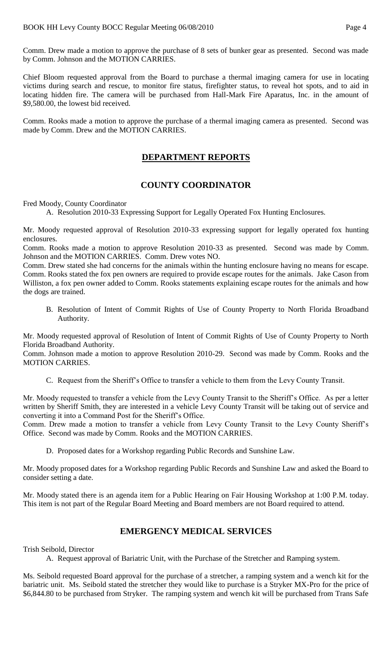Comm. Drew made a motion to approve the purchase of 8 sets of bunker gear as presented. Second was made by Comm. Johnson and the MOTION CARRIES.

Chief Bloom requested approval from the Board to purchase a thermal imaging camera for use in locating victims during search and rescue, to monitor fire status, firefighter status, to reveal hot spots, and to aid in locating hidden fire. The camera will be purchased from Hall-Mark Fire Aparatus, Inc. in the amount of \$9,580.00, the lowest bid received.

Comm. Rooks made a motion to approve the purchase of a thermal imaging camera as presented. Second was made by Comm. Drew and the MOTION CARRIES.

# **DEPARTMENT REPORTS**

# **COUNTY COORDINATOR**

Fred Moody, County Coordinator

A. Resolution 2010-33 Expressing Support for Legally Operated Fox Hunting Enclosures.

Mr. Moody requested approval of Resolution 2010-33 expressing support for legally operated fox hunting enclosures.

Comm. Rooks made a motion to approve Resolution 2010-33 as presented. Second was made by Comm. Johnson and the MOTION CARRIES. Comm. Drew votes NO.

Comm. Drew stated she had concerns for the animals within the hunting enclosure having no means for escape. Comm. Rooks stated the fox pen owners are required to provide escape routes for the animals. Jake Cason from Williston, a fox pen owner added to Comm. Rooks statements explaining escape routes for the animals and how the dogs are trained.

B. Resolution of Intent of Commit Rights of Use of County Property to North Florida Broadband Authority.

Mr. Moody requested approval of Resolution of Intent of Commit Rights of Use of County Property to North Florida Broadband Authority.

Comm. Johnson made a motion to approve Resolution 2010-29. Second was made by Comm. Rooks and the MOTION CARRIES.

C. Request from the Sheriff's Office to transfer a vehicle to them from the Levy County Transit.

Mr. Moody requested to transfer a vehicle from the Levy County Transit to the Sheriff's Office. As per a letter written by Sheriff Smith, they are interested in a vehicle Levy County Transit will be taking out of service and converting it into a Command Post for the Sheriff's Office.

Comm. Drew made a motion to transfer a vehicle from Levy County Transit to the Levy County Sheriff's Office. Second was made by Comm. Rooks and the MOTION CARRIES.

D. Proposed dates for a Workshop regarding Public Records and Sunshine Law.

Mr. Moody proposed dates for a Workshop regarding Public Records and Sunshine Law and asked the Board to consider setting a date.

Mr. Moody stated there is an agenda item for a Public Hearing on Fair Housing Workshop at 1:00 P.M. today. This item is not part of the Regular Board Meeting and Board members are not Board required to attend.

## **EMERGENCY MEDICAL SERVICES**

Trish Seibold, Director

A. Request approval of Bariatric Unit, with the Purchase of the Stretcher and Ramping system.

Ms. Seibold requested Board approval for the purchase of a stretcher, a ramping system and a wench kit for the bariatric unit. Ms. Seibold stated the stretcher they would like to purchase is a Stryker MX-Pro for the price of \$6,844.80 to be purchased from Stryker. The ramping system and wench kit will be purchased from Trans Safe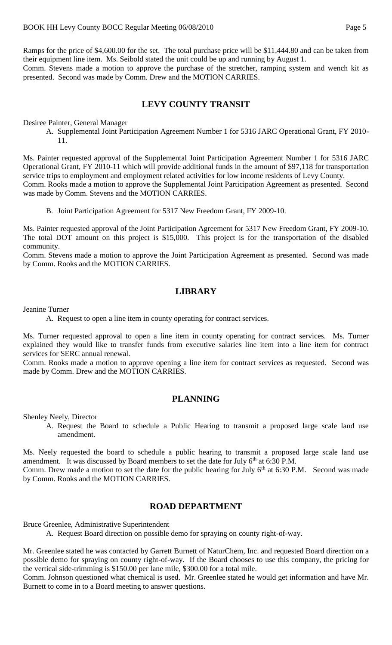Ramps for the price of \$4,600.00 for the set. The total purchase price will be \$11,444.80 and can be taken from their equipment line item. Ms. Seibold stated the unit could be up and running by August 1. Comm. Stevens made a motion to approve the purchase of the stretcher, ramping system and wench kit as presented. Second was made by Comm. Drew and the MOTION CARRIES.

## **LEVY COUNTY TRANSIT**

Desiree Painter, General Manager

A. Supplemental Joint Participation Agreement Number 1 for 5316 JARC Operational Grant, FY 2010- 11.

Ms. Painter requested approval of the Supplemental Joint Participation Agreement Number 1 for 5316 JARC Operational Grant, FY 2010-11 which will provide additional funds in the amount of \$97,118 for transportation service trips to employment and employment related activities for low income residents of Levy County. Comm. Rooks made a motion to approve the Supplemental Joint Participation Agreement as presented. Second was made by Comm. Stevens and the MOTION CARRIES.

B. Joint Participation Agreement for 5317 New Freedom Grant, FY 2009-10.

Ms. Painter requested approval of the Joint Participation Agreement for 5317 New Freedom Grant, FY 2009-10. The total DOT amount on this project is \$15,000. This project is for the transportation of the disabled community.

Comm. Stevens made a motion to approve the Joint Participation Agreement as presented. Second was made by Comm. Rooks and the MOTION CARRIES.

### **LIBRARY**

Jeanine Turner

A. Request to open a line item in county operating for contract services.

Ms. Turner requested approval to open a line item in county operating for contract services. Ms. Turner explained they would like to transfer funds from executive salaries line item into a line item for contract services for SERC annual renewal.

Comm. Rooks made a motion to approve opening a line item for contract services as requested. Second was made by Comm. Drew and the MOTION CARRIES.

### **PLANNING**

Shenley Neely, Director

A. Request the Board to schedule a Public Hearing to transmit a proposed large scale land use amendment.

Ms. Neely requested the board to schedule a public hearing to transmit a proposed large scale land use amendment. It was discussed by Board members to set the date for July  $6<sup>th</sup>$  at 6:30 P.M. Comm. Drew made a motion to set the date for the public hearing for July  $6<sup>th</sup>$  at 6:30 P.M. Second was made

by Comm. Rooks and the MOTION CARRIES.

#### **ROAD DEPARTMENT**

Bruce Greenlee, Administrative Superintendent

A. Request Board direction on possible demo for spraying on county right-of-way.

Mr. Greenlee stated he was contacted by Garrett Burnett of NaturChem, Inc. and requested Board direction on a possible demo for spraying on county right-of-way. If the Board chooses to use this company, the pricing for the vertical side-trimming is \$150.00 per lane mile, \$300.00 for a total mile.

Comm. Johnson questioned what chemical is used. Mr. Greenlee stated he would get information and have Mr. Burnett to come in to a Board meeting to answer questions.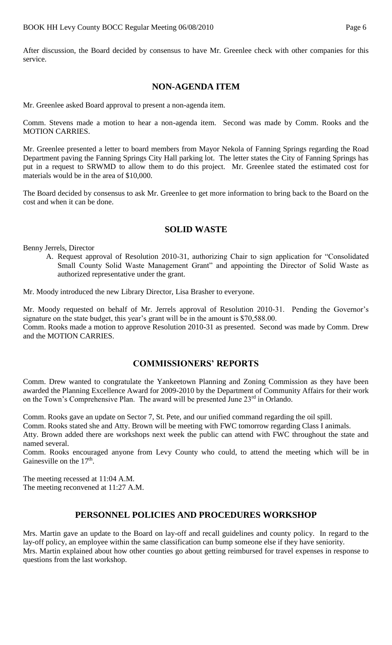After discussion, the Board decided by consensus to have Mr. Greenlee check with other companies for this service.

### **NON-AGENDA ITEM**

Mr. Greenlee asked Board approval to present a non-agenda item.

Comm. Stevens made a motion to hear a non-agenda item. Second was made by Comm. Rooks and the MOTION CARRIES.

Mr. Greenlee presented a letter to board members from Mayor Nekola of Fanning Springs regarding the Road Department paving the Fanning Springs City Hall parking lot. The letter states the City of Fanning Springs has put in a request to SRWMD to allow them to do this project. Mr. Greenlee stated the estimated cost for materials would be in the area of \$10,000.

The Board decided by consensus to ask Mr. Greenlee to get more information to bring back to the Board on the cost and when it can be done.

## **SOLID WASTE**

Benny Jerrels, Director

A. Request approval of Resolution 2010-31, authorizing Chair to sign application for "Consolidated Small County Solid Waste Management Grant" and appointing the Director of Solid Waste as authorized representative under the grant.

Mr. Moody introduced the new Library Director, Lisa Brasher to everyone.

Mr. Moody requested on behalf of Mr. Jerrels approval of Resolution 2010-31. Pending the Governor's signature on the state budget, this year's grant will be in the amount is \$70,588.00.

Comm. Rooks made a motion to approve Resolution 2010-31 as presented. Second was made by Comm. Drew and the MOTION CARRIES.

## **COMMISSIONERS' REPORTS**

Comm. Drew wanted to congratulate the Yankeetown Planning and Zoning Commission as they have been awarded the Planning Excellence Award for 2009-2010 by the Department of Community Affairs for their work on the Town's Comprehensive Plan. The award will be presented June 23<sup>rd</sup> in Orlando.

Comm. Rooks gave an update on Sector 7, St. Pete, and our unified command regarding the oil spill.

Comm. Rooks stated she and Atty. Brown will be meeting with FWC tomorrow regarding Class I animals. Atty. Brown added there are workshops next week the public can attend with FWC throughout the state and named several.

Comm. Rooks encouraged anyone from Levy County who could, to attend the meeting which will be in Gainesville on the  $17<sup>th</sup>$ .

The meeting recessed at 11:04 A.M. The meeting reconvened at 11:27 A.M.

# **PERSONNEL POLICIES AND PROCEDURES WORKSHOP**

Mrs. Martin gave an update to the Board on lay-off and recall guidelines and county policy. In regard to the lay-off policy, an employee within the same classification can bump someone else if they have seniority. Mrs. Martin explained about how other counties go about getting reimbursed for travel expenses in response to questions from the last workshop.